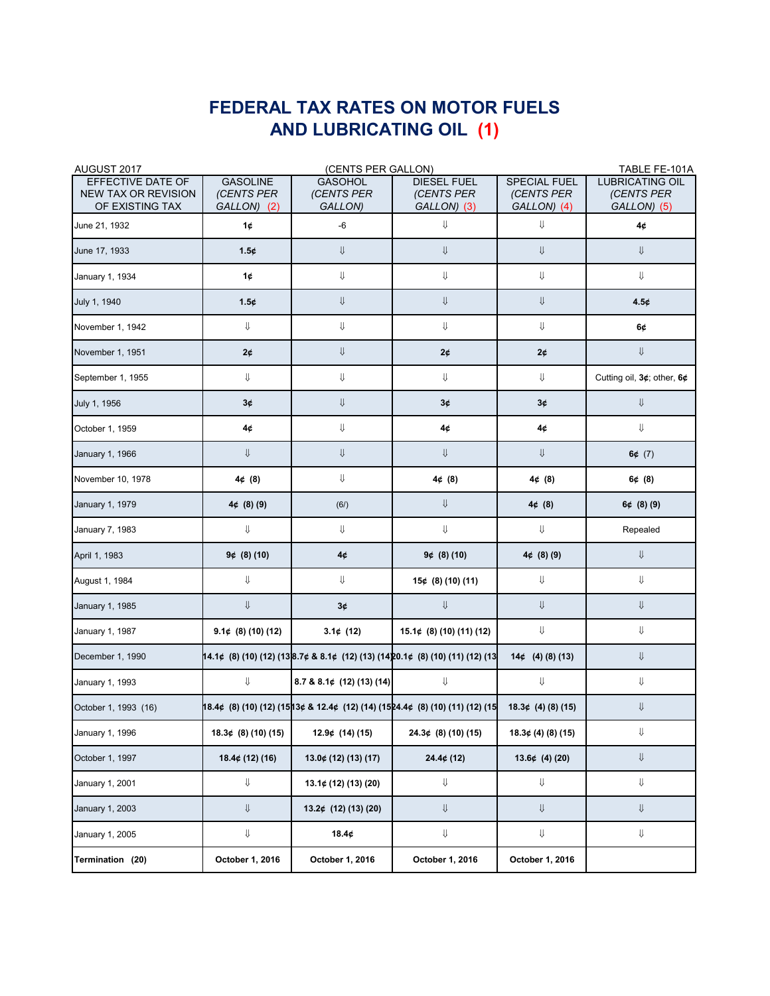## **FEDERAL TAX RATES ON MOTOR FUELS AND LUBRICATING OIL (1)**

| AUGUST 2017                                                        | (CENTS PER GALLON)                           |                                         |                                                                                                                              |                                                  | TABLE FE-101A                                       |
|--------------------------------------------------------------------|----------------------------------------------|-----------------------------------------|------------------------------------------------------------------------------------------------------------------------------|--------------------------------------------------|-----------------------------------------------------|
| EFFECTIVE DATE OF<br><b>NEW TAX OR REVISION</b><br>OF EXISTING TAX | <b>GASOLINE</b><br>(CENTS PER<br>GALLON) (2) | <b>GASOHOL</b><br>(CENTS PER<br>GALLON) | <b>DIESEL FUEL</b><br>(CENTS PER<br>GALLON) (3)                                                                              | <b>SPECIAL FUEL</b><br>(CENTS PER<br>GALLON) (4) | <b>LUBRICATING OIL</b><br>(CENTS PER<br>GALLON) (5) |
| June 21, 1932                                                      | 1¢                                           | -6                                      | IJ                                                                                                                           | $\Downarrow$                                     | 4¢                                                  |
| June 17, 1933                                                      | 1.5¢                                         | IJ                                      | IJ                                                                                                                           | ⇓                                                | $\Downarrow$                                        |
| January 1, 1934                                                    | 1¢                                           | ⇓                                       | ⇓                                                                                                                            | ⇓                                                | ⇓                                                   |
| July 1, 1940                                                       | 1.5¢                                         | IJ                                      | IJ                                                                                                                           | ⇓                                                | 4.5¢                                                |
| November 1, 1942                                                   | ⇓                                            | ⇓                                       | ⇓                                                                                                                            | ⇓                                                | 6¢                                                  |
| November 1, 1951                                                   | 2¢                                           | Ų                                       | 2¢                                                                                                                           | 2¢                                               | ⇓                                                   |
| September 1, 1955                                                  | ⇓                                            | ⇓                                       | ⇓                                                                                                                            | ⇓                                                | Cutting oil, 3¢; other, 6¢                          |
| July 1, 1956                                                       | 3¢                                           | IJ                                      | 3¢                                                                                                                           | 3¢                                               | ⇓                                                   |
| October 1, 1959                                                    | 4¢                                           | ⇓                                       | 4¢                                                                                                                           | 4¢                                               | ⇓                                                   |
| January 1, 1966                                                    | IJ.                                          | IJ                                      | IJ                                                                                                                           | ⇓                                                | 6¢ $(7)$                                            |
| November 10, 1978                                                  | 4¢(8)                                        | ⇓                                       | $4\notin (8)$                                                                                                                | 4¢(8)                                            | 6¢(8)                                               |
| January 1, 1979                                                    | $4¢$ (8) (9)                                 | (6/)                                    | ⇓                                                                                                                            | 4¢(8)                                            | $6¢$ (8) (9)                                        |
| January 7, 1983                                                    | ⇓                                            | ⇓                                       | ⇓                                                                                                                            | ⇓                                                | Repealed                                            |
| April 1, 1983                                                      | $9¢$ (8) (10)                                | 4¢                                      | $9¢$ (8) (10)                                                                                                                | $4¢$ (8) (9)                                     | ⇓                                                   |
| August 1, 1984                                                     | IJ.                                          | ⇓                                       | $15¢$ (8) (10) (11)                                                                                                          | ⇓                                                | ⇓                                                   |
| January 1, 1985                                                    | IJ.                                          | 3¢                                      | $\Downarrow$                                                                                                                 | IJ.                                              | $\Downarrow$                                        |
| January 1, 1987                                                    | $9.1¢$ (8) (10) (12)                         | 3.1¢ $(12)$                             | $15.1¢$ (8) (10) (11) (12)                                                                                                   | ⇓                                                | ⇓                                                   |
| December 1, 1990                                                   |                                              |                                         | 14.1¢ (8) (10) (12) (138.7¢ & 8.1¢ (12) (13) (1420.1¢ (8) (10) (11) (12) (13                                                 | $14¢$ (4) (8) (13)                               | ⇓                                                   |
| January 1, 1993                                                    | ⇓                                            | $8.7$ & $8.1$ ¢ (12) (13) (14)          | ⇓                                                                                                                            | ⇓                                                | ⇓                                                   |
| October 1, 1993 (16)                                               |                                              |                                         | $18.4\phi$ (8) (10) (12) (1513 $\phi$ & 12.4 $\phi$ (12) (14) (1524.4 $\phi$ (8) (10) (11) (12) (15 18.3 $\phi$ (4) (8) (15) |                                                  | ⇓                                                   |
| January 1, 1996                                                    | $18.3¢$ (8) (10) (15)                        | $12.9¢$ (14) (15)                       | $24.3¢$ (8) (10) (15)                                                                                                        | 18.3¢(4)(8)(15)                                  | IJ                                                  |
| October 1, 1997                                                    | 18.4¢(12)(16)                                | $13.0¢$ (12) (13) (17)                  | 24.4¢(12)                                                                                                                    | $13.6¢$ (4) (20)                                 | $\Downarrow$                                        |
| January 1, 2001                                                    | ⇓                                            | $13.1¢$ (12) (13) (20)                  | ⇓                                                                                                                            | ⇓                                                | IJ                                                  |
| <b>January 1, 2003</b>                                             | IJ.                                          | $13.2¢$ (12) (13) (20)                  | Ų                                                                                                                            | IJ                                               | $\Downarrow$                                        |
| January 1, 2005                                                    | ⇓                                            | 18.4¢                                   | ⇓                                                                                                                            | $\Downarrow$                                     | IJ                                                  |
| Termination (20)                                                   | October 1, 2016                              | October 1, 2016                         | October 1, 2016                                                                                                              | October 1, 2016                                  |                                                     |